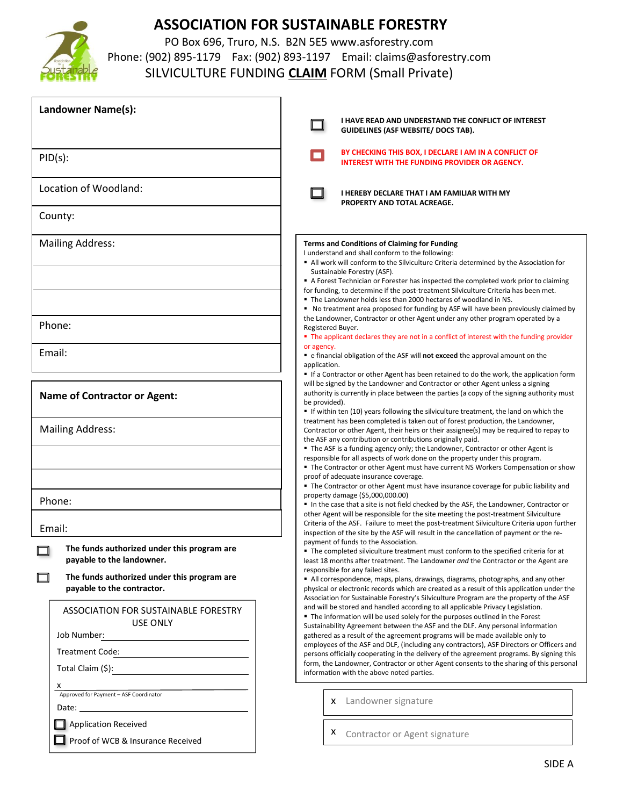

## **ASSOCIATION FOR SUSTAINABLE FORESTRY**

PO Box 696, Truro, N.S. B2N 5E5 www.asforestry.com Phone: (902) 895-1179 Fax: (902) 893-1197 Email: claims@asforestry.com SILVICULTURE FUNDING **CLAIM** FORM (Small Private)

| Landowner Name(s):                                                                                                  | I HAVE READ AND UNDERSTAND THE CONFLICT OF INTEREST<br><b>GUIDELINES (ASF WEBSITE/ DOCS TAB).</b>                                                                                                                                                                                                                                                                                                                                                                                                                                                                                                                                                                    |
|---------------------------------------------------------------------------------------------------------------------|----------------------------------------------------------------------------------------------------------------------------------------------------------------------------------------------------------------------------------------------------------------------------------------------------------------------------------------------------------------------------------------------------------------------------------------------------------------------------------------------------------------------------------------------------------------------------------------------------------------------------------------------------------------------|
| PID(s):                                                                                                             | BY CHECKING THIS BOX, I DECLARE I AM IN A CONFLICT OF<br><b>INTEREST WITH THE FUNDING PROVIDER OR AGENCY.</b>                                                                                                                                                                                                                                                                                                                                                                                                                                                                                                                                                        |
| Location of Woodland:                                                                                               | I HEREBY DECLARE THAT I AM FAMILIAR WITH MY<br>PROPERTY AND TOTAL ACREAGE.                                                                                                                                                                                                                                                                                                                                                                                                                                                                                                                                                                                           |
| County:                                                                                                             |                                                                                                                                                                                                                                                                                                                                                                                                                                                                                                                                                                                                                                                                      |
| <b>Mailing Address:</b>                                                                                             | <b>Terms and Conditions of Claiming for Funding</b><br>I understand and shall conform to the following:<br>All work will conform to the Silviculture Criteria determined by the Association for<br>Sustainable Forestry (ASF).<br>A Forest Technician or Forester has inspected the completed work prior to claiming<br>for funding, to determine if the post-treatment Silviculture Criteria has been met.<br>. The Landowner holds less than 2000 hectares of woodland in NS.                                                                                                                                                                                      |
| Phone:                                                                                                              | • No treatment area proposed for funding by ASF will have been previously claimed by<br>the Landowner, Contractor or other Agent under any other program operated by a<br>Registered Buyer.<br>• The applicant declares they are not in a conflict of interest with the funding provider                                                                                                                                                                                                                                                                                                                                                                             |
| Email:                                                                                                              | or agency.<br>e financial obligation of the ASF will not exceed the approval amount on the<br>application.                                                                                                                                                                                                                                                                                                                                                                                                                                                                                                                                                           |
| <b>Name of Contractor or Agent:</b>                                                                                 | If a Contractor or other Agent has been retained to do the work, the application form<br>will be signed by the Landowner and Contractor or other Agent unless a signing<br>authority is currently in place between the parties (a copy of the signing authority must<br>be provided).<br>If within ten (10) years following the silviculture treatment, the land on which the                                                                                                                                                                                                                                                                                        |
| <b>Mailing Address:</b>                                                                                             | treatment has been completed is taken out of forest production, the Landowner,<br>Contractor or other Agent, their heirs or their assignee(s) may be required to repay to<br>the ASF any contribution or contributions originally paid.<br>The ASF is a funding agency only; the Landowner, Contractor or other Agent is<br>responsible for all aspects of work done on the property under this program.<br>The Contractor or other Agent must have current NS Workers Compensation or show<br>proof of adequate insurance coverage.<br>• The Contractor or other Agent must have insurance coverage for public liability and                                        |
| Phone:                                                                                                              | property damage (\$5,000,000.00)<br>In the case that a site is not field checked by the ASF, the Landowner, Contractor or                                                                                                                                                                                                                                                                                                                                                                                                                                                                                                                                            |
| Email:                                                                                                              | other Agent will be responsible for the site meeting the post-treatment Silviculture<br>Criteria of the ASF. Failure to meet the post-treatment Silviculture Criteria upon further<br>inspection of the site by the ASF will result in the cancellation of payment or the re-<br>payment of funds to the Association.                                                                                                                                                                                                                                                                                                                                                |
| The funds authorized under this program are<br>payable to the landowner.                                            | ■ The completed silviculture treatment must conform to the specified criteria for at<br>least 18 months after treatment. The Landowner and the Contractor or the Agent are                                                                                                                                                                                                                                                                                                                                                                                                                                                                                           |
| The funds authorized under this program are<br>payable to the contractor.                                           | responsible for any failed sites.<br>All correspondence, maps, plans, drawings, diagrams, photographs, and any other<br>physical or electronic records which are created as a result of this application under the<br>Association for Sustainable Forestry's Silviculture Program are the property of the ASF                                                                                                                                                                                                                                                                                                                                                        |
| ASSOCIATION FOR SUSTAINABLE FORESTRY<br><b>USE ONLY</b><br>Job Number:<br>Treatment Code:<br>Total Claim (\$):<br>x | and will be stored and handled according to all applicable Privacy Legislation.<br>■ The information will be used solely for the purposes outlined in the Forest<br>Sustainability Agreement between the ASF and the DLF. Any personal information<br>gathered as a result of the agreement programs will be made available only to<br>employees of the ASF and DLF, (including any contractors), ASF Directors or Officers and<br>persons officially cooperating in the delivery of the agreement programs. By signing this<br>form, the Landowner, Contractor or other Agent consents to the sharing of this personal<br>information with the above noted parties. |
| A<br>Approved for Payment – ASF Coordinator                                                                         | x Landowner signature                                                                                                                                                                                                                                                                                                                                                                                                                                                                                                                                                                                                                                                |
| <b>Application Received</b><br>Proof of WCB & Insurance Received                                                    | Contractor or Agent signature<br>x.                                                                                                                                                                                                                                                                                                                                                                                                                                                                                                                                                                                                                                  |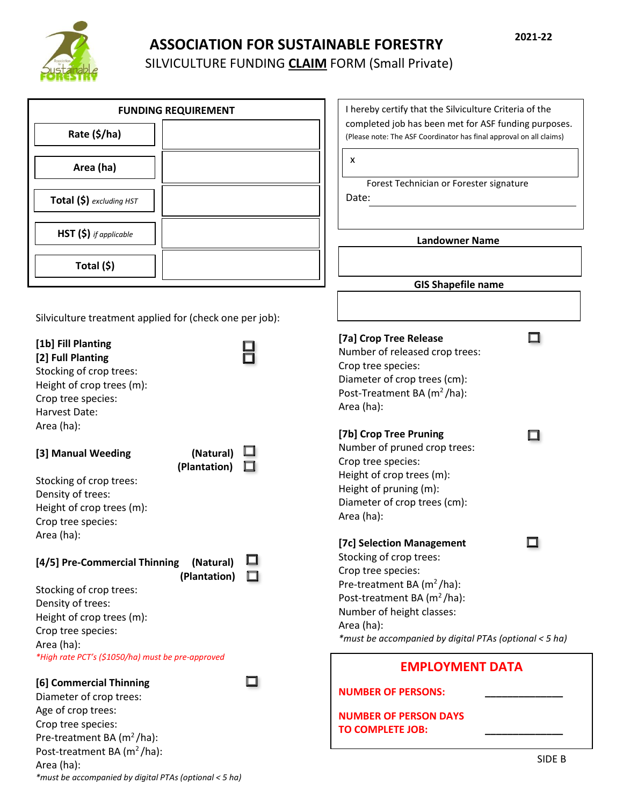

## **ASSOCIATION FOR SUSTAINABLE FORESTRY** SILVICULTURE FUNDING **CLAIM** FORM (Small Private)

|                                                                                                                                        | <b>FUNDING REQUIREMENT</b> | I hereby certify that the Silviculture Criteria of the                                                                                                                                            |        |
|----------------------------------------------------------------------------------------------------------------------------------------|----------------------------|---------------------------------------------------------------------------------------------------------------------------------------------------------------------------------------------------|--------|
| Rate (\$/ha)                                                                                                                           |                            | completed job has been met for ASF funding purposes.<br>(Please note: The ASF Coordinator has final approval on all claims)                                                                       |        |
| Area (ha)                                                                                                                              |                            | х                                                                                                                                                                                                 |        |
| Total (\$) excluding HST                                                                                                               |                            | Forest Technician or Forester signature<br>Date:                                                                                                                                                  |        |
| $HST(S)$ if applicable                                                                                                                 |                            | <b>Landowner Name</b>                                                                                                                                                                             |        |
| Total (\$)                                                                                                                             |                            |                                                                                                                                                                                                   |        |
|                                                                                                                                        |                            | <b>GIS Shapefile name</b>                                                                                                                                                                         |        |
| Silviculture treatment applied for (check one per job):                                                                                |                            |                                                                                                                                                                                                   |        |
| [1b] Fill Planting<br>[2] Full Planting<br>Stocking of crop trees:<br>Height of crop trees (m):<br>Crop tree species:<br>Harvest Date: |                            | [7a] Crop Tree Release<br>Number of released crop trees:<br>Crop tree species:<br>Diameter of crop trees (cm):<br>Post-Treatment BA (m <sup>2</sup> /ha):<br>Area (ha):                           |        |
| Area (ha):<br>[3] Manual Weeding<br>Stocking of crop trees:<br>Density of trees:<br>Height of crop trees (m):<br>Crop tree species:    | (Natural)<br>(Plantation)  | [7b] Crop Tree Pruning<br>Number of pruned crop trees:<br>Crop tree species:<br>Height of crop trees (m):<br>Height of pruning (m):<br>Diameter of crop trees (cm):<br>Area (ha):                 |        |
| Area (ha):<br>[4/5] Pre-Commercial Thinning<br>Stocking of crop trees:<br>Density of trees:<br>Height of crop trees (m):               | (Natural)<br>(Plantation)  | [7c] Selection Management<br>Stocking of crop trees:<br>Crop tree species:<br>Pre-treatment BA $(m^2/ha)$ :<br>Post-treatment BA (m <sup>2</sup> /ha):<br>Number of height classes:<br>Area (ha): |        |
| Crop tree species:<br>Area (ha):<br>*High rate PCT's (\$1050/ha) must be pre-approved                                                  |                            | *must be accompanied by digital PTAs (optional < 5 ha)                                                                                                                                            |        |
| [6] Commercial Thinning<br>Diameter of crop trees:                                                                                     |                            | <b>EMPLOYMENT DATA</b><br><b>NUMBER OF PERSONS:</b>                                                                                                                                               |        |
| Age of crop trees:<br>Crop tree species:<br>Pre-treatment BA $(m^2/ha)$ :<br>Post-treatment BA (m <sup>2</sup> /ha):                   |                            | <b>NUMBER OF PERSON DAYS</b><br><b>TO COMPLETE JOB:</b>                                                                                                                                           | SIDE B |
| Area (ha):                                                                                                                             |                            |                                                                                                                                                                                                   |        |

*\*must be accompanied by digital PTAs (optional < 5 ha)*